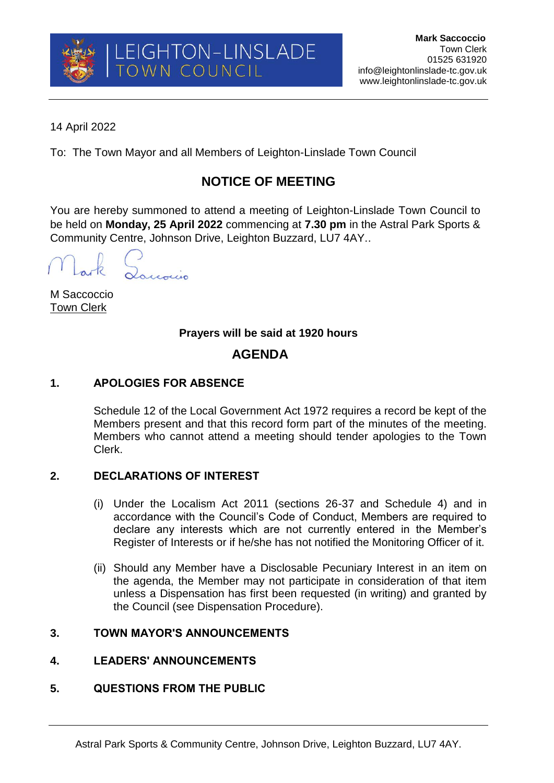

14 April 2022

To: The Town Mayor and all Members of Leighton-Linslade Town Council

# **NOTICE OF MEETING**

You are hereby summoned to attend a meeting of Leighton-Linslade Town Council to be held on **Monday, 25 April 2022** commencing at **7.30 pm** in the Astral Park Sports & Community Centre, Johnson Drive, Leighton Buzzard, LU7 4AY..

Lourois

M Saccoccio Town Clerk

## **Prayers will be said at 1920 hours**

## **AGENDA**

## **1. APOLOGIES FOR ABSENCE**

Schedule 12 of the Local Government Act 1972 requires a record be kept of the Members present and that this record form part of the minutes of the meeting. Members who cannot attend a meeting should tender apologies to the Town Clerk.

## **2. DECLARATIONS OF INTEREST**

- (i) Under the Localism Act 2011 (sections 26-37 and Schedule 4) and in accordance with the Council's Code of Conduct, Members are required to declare any interests which are not currently entered in the Member's Register of Interests or if he/she has not notified the Monitoring Officer of it.
- (ii) Should any Member have a Disclosable Pecuniary Interest in an item on the agenda, the Member may not participate in consideration of that item unless a Dispensation has first been requested (in writing) and granted by the Council (see Dispensation Procedure).

## **3. TOWN MAYOR'S ANNOUNCEMENTS**

## **4. LEADERS' ANNOUNCEMENTS**

## **5. QUESTIONS FROM THE PUBLIC**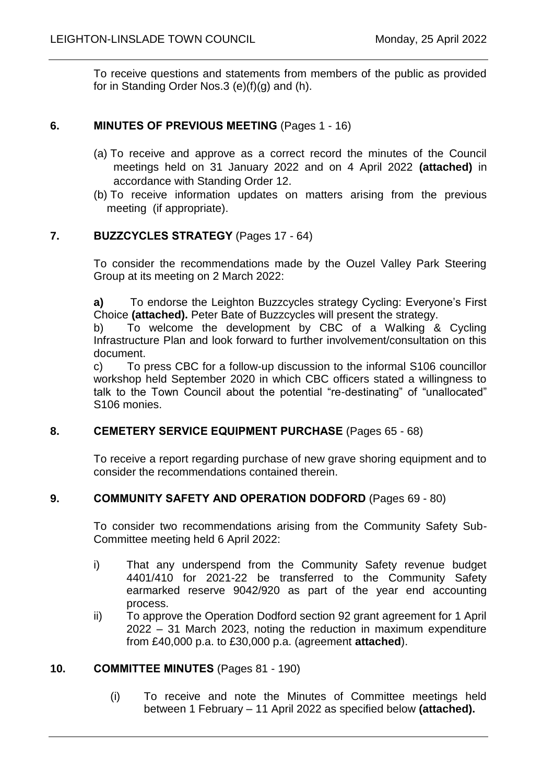To receive questions and statements from members of the public as provided for in Standing Order Nos.3 (e)(f)(g) and (h).

### **6. MINUTES OF PREVIOUS MEETING** (Pages 1 - 16)

- (a) To receive and approve as a correct record the minutes of the Council meetings held on 31 January 2022 and on 4 April 2022 **(attached)** in accordance with Standing Order 12.
- (b) To receive information updates on matters arising from the previous meeting (if appropriate).

#### **7. BUZZCYCLES STRATEGY** (Pages 17 - 64)

To consider the recommendations made by the Ouzel Valley Park Steering Group at its meeting on 2 March 2022:

**a)** To endorse the Leighton Buzzcycles strategy Cycling: Everyone's First Choice **(attached).** Peter Bate of Buzzcycles will present the strategy.

b) To welcome the development by CBC of a Walking & Cycling Infrastructure Plan and look forward to further involvement/consultation on this document.

c) To press CBC for a follow-up discussion to the informal S106 councillor workshop held September 2020 in which CBC officers stated a willingness to talk to the Town Council about the potential "re-destinating" of "unallocated" S106 monies.

#### **8. CEMETERY SERVICE EQUIPMENT PURCHASE** (Pages 65 - 68)

To receive a report regarding purchase of new grave shoring equipment and to consider the recommendations contained therein.

#### **9. COMMUNITY SAFETY AND OPERATION DODFORD** (Pages 69 - 80)

To consider two recommendations arising from the Community Safety Sub-Committee meeting held 6 April 2022:

- i) That any underspend from the Community Safety revenue budget 4401/410 for 2021-22 be transferred to the Community Safety earmarked reserve 9042/920 as part of the year end accounting process.
- ii) To approve the Operation Dodford section 92 grant agreement for 1 April 2022 – 31 March 2023, noting the reduction in maximum expenditure from £40,000 p.a. to £30,000 p.a. (agreement **attached**).

#### **10. COMMITTEE MINUTES** (Pages 81 - 190)

(i) To receive and note the Minutes of Committee meetings held between 1 February – 11 April 2022 as specified below **(attached).**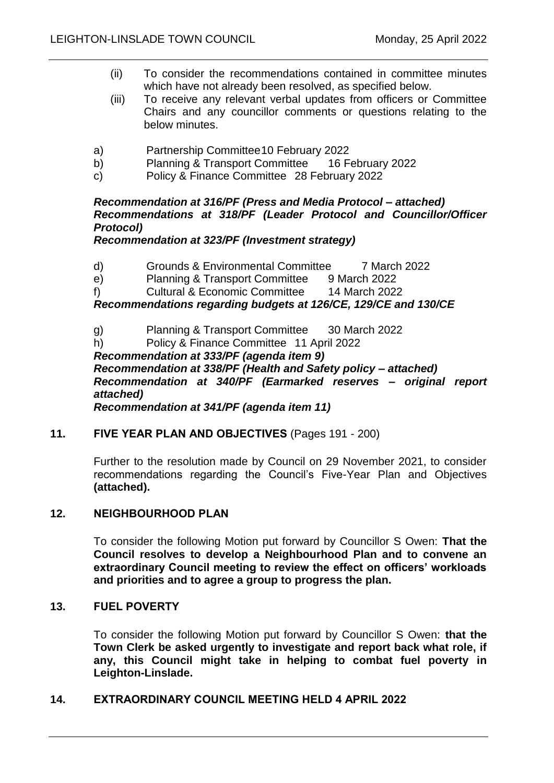- (ii) To consider the recommendations contained in committee minutes which have not already been resolved, as specified below.
- (iii) To receive any relevant verbal updates from officers or Committee Chairs and any councillor comments or questions relating to the below minutes.
- a) Partnership Committee10 February 2022
- b) Planning & Transport Committee 16 February 2022
- c) Policy & Finance Committee 28 February 2022

#### *Recommendation at 316/PF (Press and Media Protocol – attached) Recommendations at 318/PF (Leader Protocol and Councillor/Officer Protocol)*

#### *Recommendation at 323/PF (Investment strategy)*

- d) Grounds & Environmental Committee 7 March 2022
- e) Planning & Transport Committee 9 March 2022
- f) Cultural & Economic Committee 14 March 2022

#### *Recommendations regarding budgets at 126/CE, 129/CE and 130/CE*

- g) Planning & Transport Committee 30 March 2022
- h) Policy & Finance Committee 11 April 2022

*Recommendation at 333/PF (agenda item 9) Recommendation at 338/PF (Health and Safety policy – attached) Recommendation at 340/PF (Earmarked reserves – original report attached)*

*Recommendation at 341/PF (agenda item 11)*

#### **11. FIVE YEAR PLAN AND OBJECTIVES** (Pages 191 - 200)

Further to the resolution made by Council on 29 November 2021, to consider recommendations regarding the Council's Five-Year Plan and Objectives **(attached).**

#### **12. NEIGHBOURHOOD PLAN**

To consider the following Motion put forward by Councillor S Owen: **That the Council resolves to develop a Neighbourhood Plan and to convene an extraordinary Council meeting to review the effect on officers' workloads and priorities and to agree a group to progress the plan.** 

#### **13. FUEL POVERTY**

To consider the following Motion put forward by Councillor S Owen: **that the Town Clerk be asked urgently to investigate and report back what role, if any, this Council might take in helping to combat fuel poverty in Leighton-Linslade.** 

#### **14. EXTRAORDINARY COUNCIL MEETING HELD 4 APRIL 2022**